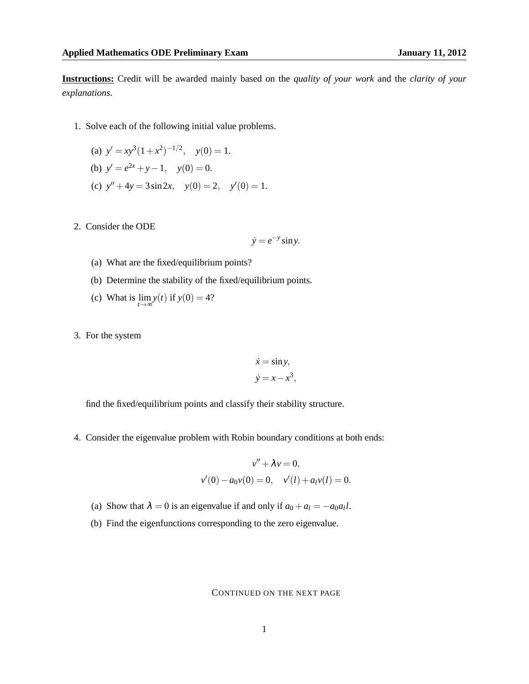**Instructions:** Credit will be awarded mainly based on the *quality of your work* and the *clarity of your explanations*.

1. Solve each of the following initial value problems.

(a) 
$$
y' = xy^3(1+x^2)^{-1/2}
$$
,  $y(0) = 1$ .  
\n(b)  $y' = e^{2x} + y - 1$ ,  $y(0) = 0$ .

- (c)  $y'' + 4y = 3\sin 2x$ ,  $y(0) = 2$ ,  $y'(0) = 1$ .
- 2. Consider the ODE

$$
\dot{y} = e^{-y} \sin y.
$$

- (a) What are the fixed/equilibrium points?
- (b) Determine the stability of the fixed/equilibrium points.
- (c) What is  $\lim_{t \to \infty} y(t)$  if  $y(0) = 4$ ?
- 3. For the system

$$
\dot{x} = \sin y, \n\dot{y} = x - x^3,
$$

find the fixed/equilibrium points and classify their stability structure.

4. Consider the eigenvalue problem with Robin boundary conditions at both ends:

$$
v'' + \lambda v = 0,
$$
  

$$
v'(0) - a_0 v(0) = 0, \quad v'(l) + a_l v(l) = 0.
$$

- (a) Show that  $\lambda = 0$  is an eigenvalue if and only if  $a_0 + a_l = -a_0 a_l l$ .
- (b) Find the eigenfunctions corresponding to the zero eigenvalue.

## CONTINUED ON THE NEXT PAGE